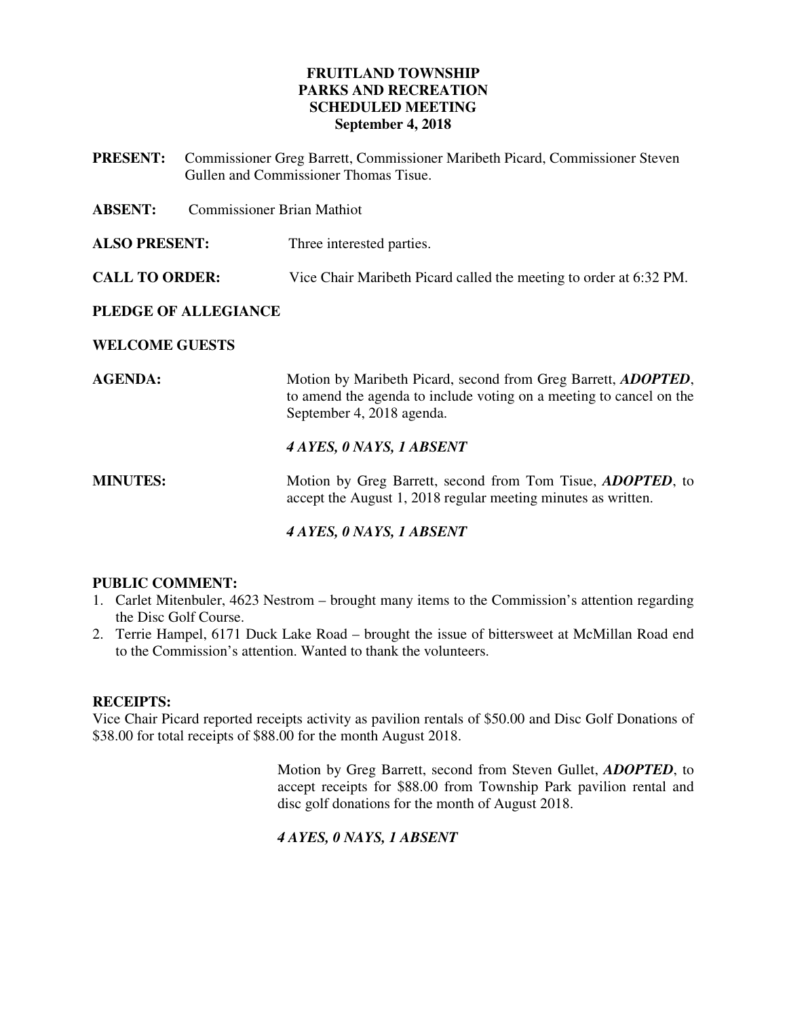# **FRUITLAND TOWNSHIP PARKS AND RECREATION SCHEDULED MEETING September 4, 2018**

**PRESENT:** Commissioner Greg Barrett, Commissioner Maribeth Picard, Commissioner Steven Gullen and Commissioner Thomas Tisue.

**ABSENT:** Commissioner Brian Mathiot

**ALSO PRESENT:** Three interested parties.

**CALL TO ORDER:** Vice Chair Maribeth Picard called the meeting to order at 6:32 PM.

# **PLEDGE OF ALLEGIANCE**

# **WELCOME GUESTS**

**AGENDA: Motion by Maribeth Picard, second from Greg Barrett,** *ADOPTED***,** to amend the agenda to include voting on a meeting to cancel on the September 4, 2018 agenda.

# *4 AYES, 0 NAYS, 1 ABSENT*

**MINUTES:** Motion by Greg Barrett, second from Tom Tisue, *ADOPTED*, to accept the August 1, 2018 regular meeting minutes as written.

# *4 AYES, 0 NAYS, 1 ABSENT*

# **PUBLIC COMMENT:**

- 1. Carlet Mitenbuler, 4623 Nestrom brought many items to the Commission's attention regarding the Disc Golf Course.
- 2. Terrie Hampel, 6171 Duck Lake Road brought the issue of bittersweet at McMillan Road end to the Commission's attention. Wanted to thank the volunteers.

#### **RECEIPTS:**

Vice Chair Picard reported receipts activity as pavilion rentals of \$50.00 and Disc Golf Donations of \$38.00 for total receipts of \$88.00 for the month August 2018.

> Motion by Greg Barrett, second from Steven Gullet, *ADOPTED*, to accept receipts for \$88.00 from Township Park pavilion rental and disc golf donations for the month of August 2018.

# *4 AYES, 0 NAYS, 1 ABSENT*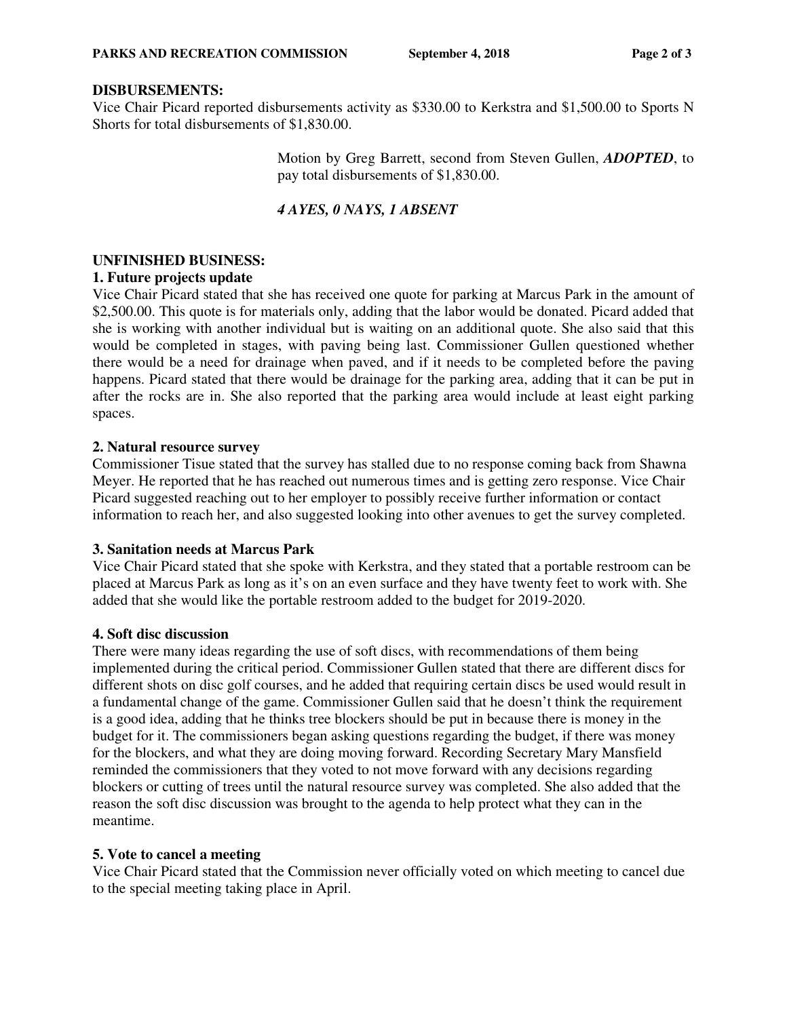## **DISBURSEMENTS:**

Vice Chair Picard reported disbursements activity as \$330.00 to Kerkstra and \$1,500.00 to Sports N Shorts for total disbursements of \$1,830.00.

> Motion by Greg Barrett, second from Steven Gullen, *ADOPTED*, to pay total disbursements of \$1,830.00.

## *4 AYES, 0 NAYS, 1 ABSENT*

## **UNFINISHED BUSINESS:**

#### **1. Future projects update**

Vice Chair Picard stated that she has received one quote for parking at Marcus Park in the amount of \$2,500.00. This quote is for materials only, adding that the labor would be donated. Picard added that she is working with another individual but is waiting on an additional quote. She also said that this would be completed in stages, with paving being last. Commissioner Gullen questioned whether there would be a need for drainage when paved, and if it needs to be completed before the paving happens. Picard stated that there would be drainage for the parking area, adding that it can be put in after the rocks are in. She also reported that the parking area would include at least eight parking spaces.

## **2. Natural resource survey**

Commissioner Tisue stated that the survey has stalled due to no response coming back from Shawna Meyer. He reported that he has reached out numerous times and is getting zero response. Vice Chair Picard suggested reaching out to her employer to possibly receive further information or contact information to reach her, and also suggested looking into other avenues to get the survey completed.

#### **3. Sanitation needs at Marcus Park**

Vice Chair Picard stated that she spoke with Kerkstra, and they stated that a portable restroom can be placed at Marcus Park as long as it's on an even surface and they have twenty feet to work with. She added that she would like the portable restroom added to the budget for 2019-2020.

#### **4. Soft disc discussion**

There were many ideas regarding the use of soft discs, with recommendations of them being implemented during the critical period. Commissioner Gullen stated that there are different discs for different shots on disc golf courses, and he added that requiring certain discs be used would result in a fundamental change of the game. Commissioner Gullen said that he doesn't think the requirement is a good idea, adding that he thinks tree blockers should be put in because there is money in the budget for it. The commissioners began asking questions regarding the budget, if there was money for the blockers, and what they are doing moving forward. Recording Secretary Mary Mansfield reminded the commissioners that they voted to not move forward with any decisions regarding blockers or cutting of trees until the natural resource survey was completed. She also added that the reason the soft disc discussion was brought to the agenda to help protect what they can in the meantime.

# **5. Vote to cancel a meeting**

Vice Chair Picard stated that the Commission never officially voted on which meeting to cancel due to the special meeting taking place in April.